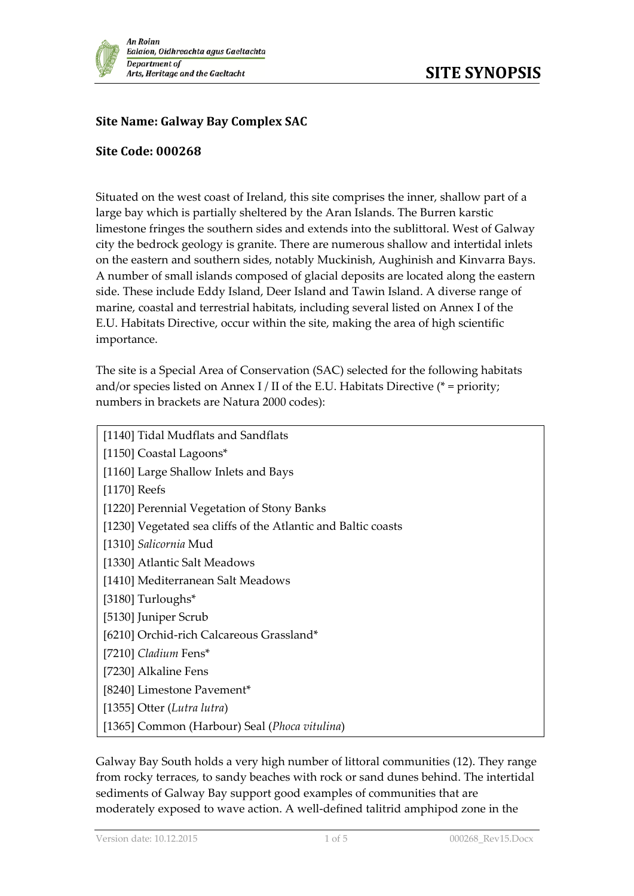

## **Site Name: Galway Bay Complex SAC**

## **Site Code: 000268**

Situated on the west coast of Ireland, this site comprises the inner, shallow part of a large bay which is partially sheltered by the Aran Islands. The Burren karstic limestone fringes the southern sides and extends into the sublittoral. West of Galway city the bedrock geology is granite. There are numerous shallow and intertidal inlets on the eastern and southern sides, notably Muckinish, Aughinish and Kinvarra Bays. A number of small islands composed of glacial deposits are located along the eastern side. These include Eddy Island, Deer Island and Tawin Island. A diverse range of marine, coastal and terrestrial habitats, including several listed on Annex I of the E.U. Habitats Directive, occur within the site, making the area of high scientific importance.

The site is a Special Area of Conservation (SAC) selected for the following habitats and/or species listed on Annex I / II of the E.U. Habitats Directive ( $*$  = priority; numbers in brackets are Natura 2000 codes):

| [1140] Tidal Mudflats and Sandflats                           |
|---------------------------------------------------------------|
| [1150] Coastal Lagoons*                                       |
| [1160] Large Shallow Inlets and Bays                          |
| [ $1170$ ] Reefs                                              |
| [1220] Perennial Vegetation of Stony Banks                    |
| [1230] Vegetated sea cliffs of the Atlantic and Baltic coasts |
| [1310] Salicornia Mud                                         |
| [1330] Atlantic Salt Meadows                                  |
| [1410] Mediterranean Salt Meadows                             |
| [3180] Turloughs*                                             |
| [5130] Juniper Scrub                                          |
| [6210] Orchid-rich Calcareous Grassland*                      |
| [7210] Cladium Fens*                                          |
| [7230] Alkaline Fens                                          |
| [8240] Limestone Pavement*                                    |
| [1355] Otter (Lutra lutra)                                    |
| [1365] Common (Harbour) Seal (Phoca vitulina)                 |

Galway Bay South holds a very high number of littoral communities (12). They range from rocky terraces, to sandy beaches with rock or sand dunes behind. The intertidal sediments of Galway Bay support good examples of communities that are moderately exposed to wave action. A well-defined talitrid amphipod zone in the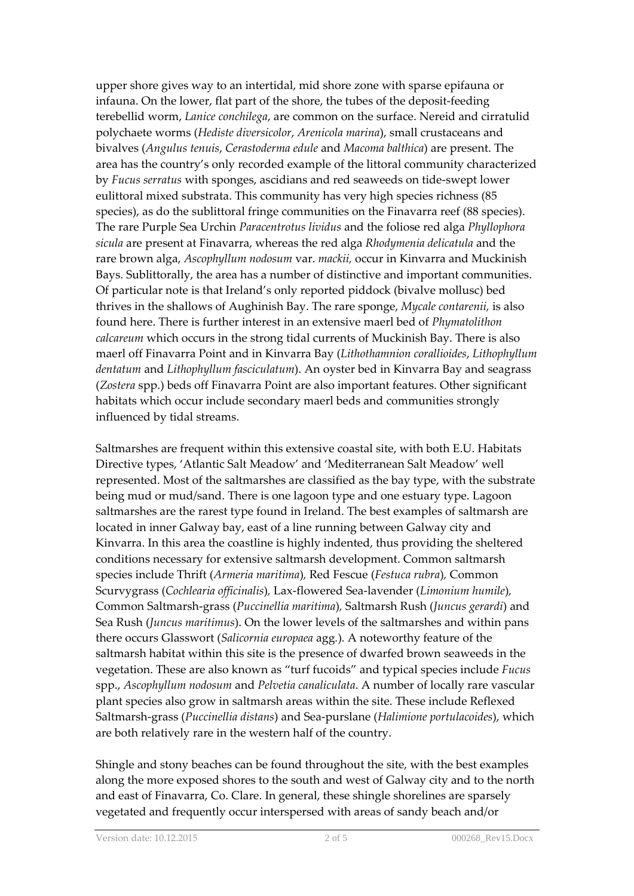upper shore gives way to an intertidal, mid shore zone with sparse epifauna or infauna. On the lower, flat part of the shore, the tubes of the deposit-feeding terebellid worm, *Lanice conchilega*, are common on the surface. Nereid and cirratulid polychaete worms (*Hediste diversicolor*, *Arenicola marina*), small crustaceans and bivalves (*Angulus tenuis*, *Cerastoderma edule* and *Macoma balthica*) are present. The area has the country's only recorded example of the littoral community characterized by *Fucus serratus* with sponges, ascidians and red seaweeds on tide-swept lower eulittoral mixed substrata. This community has very high species richness (85 species), as do the sublittoral fringe communities on the Finavarra reef (88 species). The rare Purple Sea Urchin *Paracentrotus lividus* and the foliose red alga *Phyllophora sicula* are present at Finavarra, whereas the red alga *Rhodymenia delicatula* and the rare brown alga, *Ascophyllum nodosum* var. *mackii,* occur in Kinvarra and Muckinish Bays. Sublittorally, the area has a number of distinctive and important communities. Of particular note is that Ireland's only reported piddock (bivalve mollusc) bed thrives in the shallows of Aughinish Bay. The rare sponge, *Mycale contarenii,* is also found here. There is further interest in an extensive maerl bed of *Phymatolithon calcareum* which occurs in the strong tidal currents of Muckinish Bay. There is also maerl off Finavarra Point and in Kinvarra Bay (*Lithothamnion corallioides*, *Lithophyllum dentatum* and *Lithophyllum fasciculatum*). An oyster bed in Kinvarra Bay and seagrass (*Zostera* spp.) beds off Finavarra Point are also important features. Other significant habitats which occur include secondary maerl beds and communities strongly influenced by tidal streams.

Saltmarshes are frequent within this extensive coastal site, with both E.U. Habitats Directive types, 'Atlantic Salt Meadow' and 'Mediterranean Salt Meadow' well represented. Most of the saltmarshes are classified as the bay type, with the substrate being mud or mud/sand. There is one lagoon type and one estuary type. Lagoon saltmarshes are the rarest type found in Ireland. The best examples of saltmarsh are located in inner Galway bay, east of a line running between Galway city and Kinvarra. In this area the coastline is highly indented, thus providing the sheltered conditions necessary for extensive saltmarsh development. Common saltmarsh species include Thrift (*Armeria maritima*)*,* Red Fescue (*Festuca rubra*)*,* Common Scurvygrass (*Cochlearia officinalis*)*,* Lax-flowered Sea-lavender (*Limonium humile*)*,* Common Saltmarsh-grass (*Puccinellia maritima*)*,* Saltmarsh Rush (*Juncus gerardi*) and Sea Rush (*Juncus maritimus*). On the lower levels of the saltmarshes and within pans there occurs Glasswort (*Salicornia europaea* agg*.*)*.* A noteworthy feature of the saltmarsh habitat within this site is the presence of dwarfed brown seaweeds in the vegetation. These are also known as "turf fucoids" and typical species include *Fucus* spp., *Ascophyllum nodosum* and *Pelvetia canaliculata*. A number of locally rare vascular plant species also grow in saltmarsh areas within the site. These include Reflexed Saltmarsh-grass (*Puccinellia distans*) and Sea-purslane (*Halimione portulacoides*), which are both relatively rare in the western half of the country.

Shingle and stony beaches can be found throughout the site, with the best examples along the more exposed shores to the south and west of Galway city and to the north and east of Finavarra, Co. Clare. In general, these shingle shorelines are sparsely vegetated and frequently occur interspersed with areas of sandy beach and/or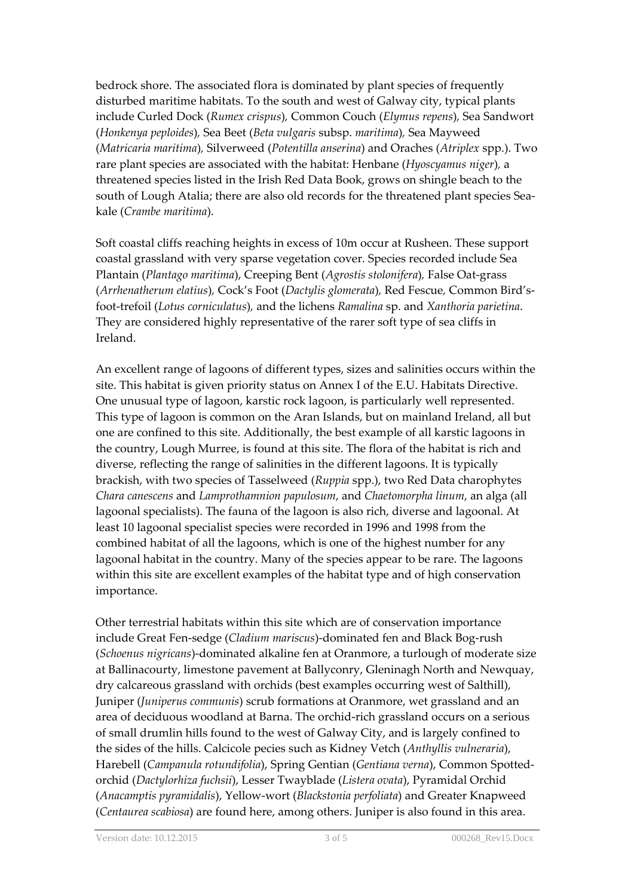bedrock shore. The associated flora is dominated by plant species of frequently disturbed maritime habitats. To the south and west of Galway city, typical plants include Curled Dock (*Rumex crispus*)*,* Common Couch (*Elymus repens*)*,* Sea Sandwort (*Honkenya peploides*)*,* Sea Beet (*Beta vulgaris* subsp. *maritima*)*,* Sea Mayweed (*Matricaria maritima*)*,* Silverweed (*Potentilla anserina*) and Oraches (*Atriplex* spp.). Two rare plant species are associated with the habitat: Henbane (*Hyoscyamus niger*)*,* a threatened species listed in the Irish Red Data Book, grows on shingle beach to the south of Lough Atalia; there are also old records for the threatened plant species Seakale (*Crambe maritima*).

Soft coastal cliffs reaching heights in excess of 10m occur at Rusheen. These support coastal grassland with very sparse vegetation cover. Species recorded include Sea Plantain (*Plantago maritima*), Creeping Bent (*Agrostis stolonifera*)*,* False Oat-grass (*Arrhenatherum elatius*)*,* Cock's Foot (*Dactylis glomerata*)*,* Red Fescue*,* Common Bird'sfoot-trefoil (*Lotus corniculatus*)*,* and the lichens *Ramalina* sp. and *Xanthoria parietina*. They are considered highly representative of the rarer soft type of sea cliffs in Ireland.

An excellent range of lagoons of different types, sizes and salinities occurs within the site. This habitat is given priority status on Annex I of the E.U. Habitats Directive. One unusual type of lagoon, karstic rock lagoon, is particularly well represented. This type of lagoon is common on the Aran Islands, but on mainland Ireland, all but one are confined to this site. Additionally, the best example of all karstic lagoons in the country, Lough Murree, is found at this site. The flora of the habitat is rich and diverse, reflecting the range of salinities in the different lagoons. It is typically brackish, with two species of Tasselweed (*Ruppia* spp.), two Red Data charophytes *Chara canescens* and *Lamprothamnion papulosum*, and *Chaetomorpha linum*, an alga (all lagoonal specialists). The fauna of the lagoon is also rich, diverse and lagoonal. At least 10 lagoonal specialist species were recorded in 1996 and 1998 from the combined habitat of all the lagoons, which is one of the highest number for any lagoonal habitat in the country. Many of the species appear to be rare. The lagoons within this site are excellent examples of the habitat type and of high conservation importance.

Other terrestrial habitats within this site which are of conservation importance include Great Fen-sedge (*Cladium mariscus*)-dominated fen and Black Bog-rush (*Schoenus nigricans*)-dominated alkaline fen at Oranmore, a turlough of moderate size at Ballinacourty, limestone pavement at Ballyconry, Gleninagh North and Newquay, dry calcareous grassland with orchids (best examples occurring west of Salthill), Juniper (*Juniperus communis*) scrub formations at Oranmore, wet grassland and an area of deciduous woodland at Barna. The orchid-rich grassland occurs on a serious of small drumlin hills found to the west of Galway City, and is largely confined to the sides of the hills. Calcicole pecies such as Kidney Vetch (*Anthyllis vulneraria*), Harebell (*Campanula rotundifolia*), Spring Gentian (*Gentiana verna*), Common Spottedorchid (*Dactylorhiza fuchsii*), Lesser Twayblade (*Listera ovata*), Pyramidal Orchid (*Anacamptis pyramidalis*), Yellow-wort (*Blackstonia perfoliata*) and Greater Knapweed (*Centaurea scabiosa*) are found here, among others. Juniper is also found in this area.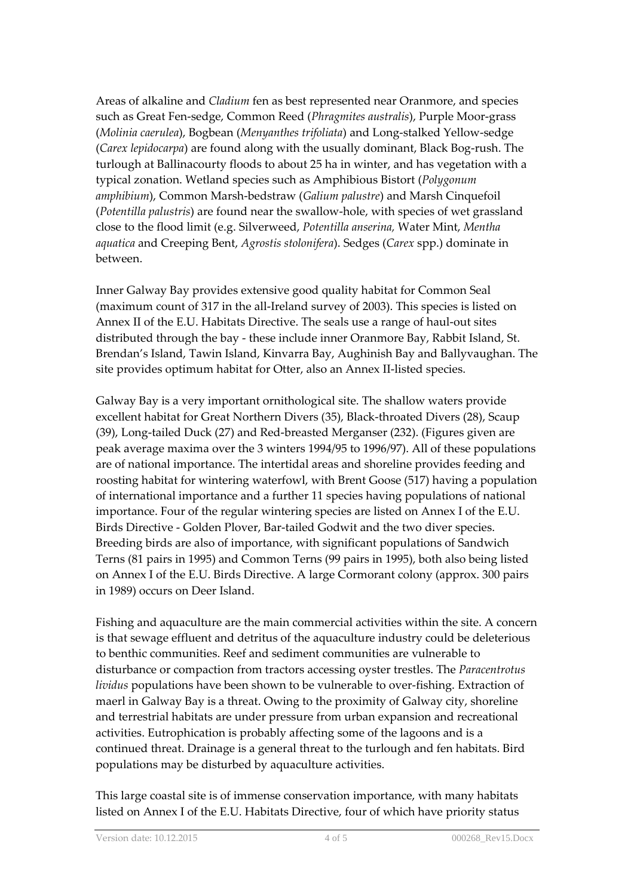Areas of alkaline and *Cladium* fen as best represented near Oranmore, and species such as Great Fen-sedge, Common Reed (*Phragmites australis*), Purple Moor-grass (*Molinia caerulea*), Bogbean (*Menyanthes trifoliata*) and Long-stalked Yellow-sedge (*Carex lepidocarpa*) are found along with the usually dominant, Black Bog-rush. The turlough at Ballinacourty floods to about 25 ha in winter, and has vegetation with a typical zonation. Wetland species such as Amphibious Bistort (*Polygonum amphibium*), Common Marsh-bedstraw (*Galium palustre*) and Marsh Cinquefoil (*Potentilla palustris*) are found near the swallow-hole, with species of wet grassland close to the flood limit (e.g. Silverweed, *Potentilla anserina,* Water Mint, *Mentha aquatica* and Creeping Bent, *Agrostis stolonifera*). Sedges (*Carex* spp.) dominate in between.

Inner Galway Bay provides extensive good quality habitat for Common Seal (maximum count of 317 in the all-Ireland survey of 2003). This species is listed on Annex II of the E.U. Habitats Directive. The seals use a range of haul-out sites distributed through the bay - these include inner Oranmore Bay, Rabbit Island, St. Brendan's Island, Tawin Island, Kinvarra Bay, Aughinish Bay and Ballyvaughan. The site provides optimum habitat for Otter, also an Annex II-listed species.

Galway Bay is a very important ornithological site. The shallow waters provide excellent habitat for Great Northern Divers (35), Black-throated Divers (28), Scaup (39), Long-tailed Duck (27) and Red-breasted Merganser (232). (Figures given are peak average maxima over the 3 winters 1994/95 to 1996/97). All of these populations are of national importance. The intertidal areas and shoreline provides feeding and roosting habitat for wintering waterfowl, with Brent Goose (517) having a population of international importance and a further 11 species having populations of national importance. Four of the regular wintering species are listed on Annex I of the E.U. Birds Directive - Golden Plover, Bar-tailed Godwit and the two diver species. Breeding birds are also of importance, with significant populations of Sandwich Terns (81 pairs in 1995) and Common Terns (99 pairs in 1995), both also being listed on Annex I of the E.U. Birds Directive. A large Cormorant colony (approx. 300 pairs in 1989) occurs on Deer Island.

Fishing and aquaculture are the main commercial activities within the site. A concern is that sewage effluent and detritus of the aquaculture industry could be deleterious to benthic communities. Reef and sediment communities are vulnerable to disturbance or compaction from tractors accessing oyster trestles. The *Paracentrotus lividus* populations have been shown to be vulnerable to over-fishing. Extraction of maerl in Galway Bay is a threat. Owing to the proximity of Galway city, shoreline and terrestrial habitats are under pressure from urban expansion and recreational activities. Eutrophication is probably affecting some of the lagoons and is a continued threat. Drainage is a general threat to the turlough and fen habitats. Bird populations may be disturbed by aquaculture activities.

This large coastal site is of immense conservation importance, with many habitats listed on Annex I of the E.U. Habitats Directive, four of which have priority status